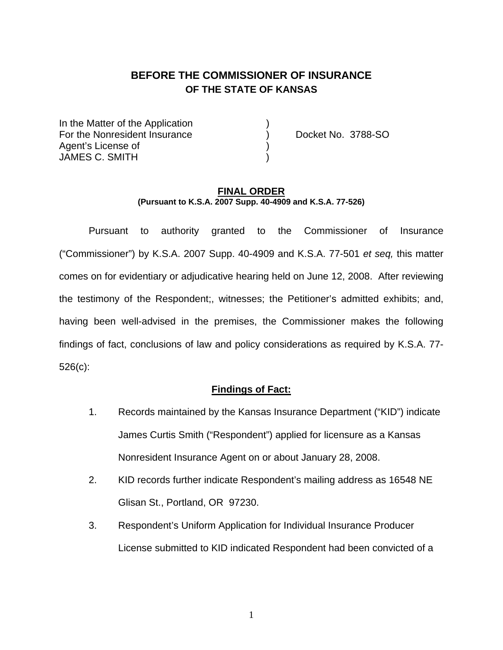# **BEFORE THE COMMISSIONER OF INSURANCE OF THE STATE OF KANSAS**

In the Matter of the Application For the Nonresident Insurance (a) Docket No. 3788-SO Agent's License of ) JAMES C. SMITH

#### **FINAL ORDER (Pursuant to K.S.A. 2007 Supp. 40-4909 and K.S.A. 77-526)**

 Pursuant to authority granted to the Commissioner of Insurance ("Commissioner") by K.S.A. 2007 Supp. 40-4909 and K.S.A. 77-501 *et seq,* this matter comes on for evidentiary or adjudicative hearing held on June 12, 2008. After reviewing the testimony of the Respondent;, witnesses; the Petitioner's admitted exhibits; and, having been well-advised in the premises, the Commissioner makes the following findings of fact, conclusions of law and policy considerations as required by K.S.A. 77- 526(c):

#### **Findings of Fact:**

- 1. Records maintained by the Kansas Insurance Department ("KID") indicate James Curtis Smith ("Respondent") applied for licensure as a Kansas Nonresident Insurance Agent on or about January 28, 2008.
- 2. KID records further indicate Respondent's mailing address as 16548 NE Glisan St., Portland, OR 97230.
- 3. Respondent's Uniform Application for Individual Insurance Producer License submitted to KID indicated Respondent had been convicted of a

1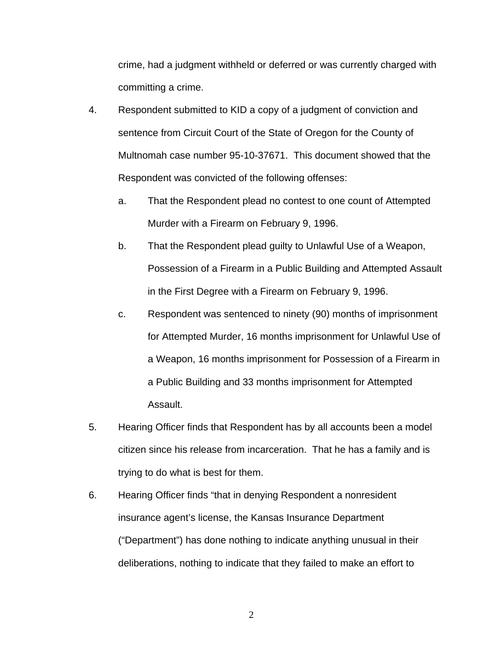crime, had a judgment withheld or deferred or was currently charged with committing a crime.

- 4. Respondent submitted to KID a copy of a judgment of conviction and sentence from Circuit Court of the State of Oregon for the County of Multnomah case number 95-10-37671. This document showed that the Respondent was convicted of the following offenses:
	- a. That the Respondent plead no contest to one count of Attempted Murder with a Firearm on February 9, 1996.
	- b. That the Respondent plead guilty to Unlawful Use of a Weapon, Possession of a Firearm in a Public Building and Attempted Assault in the First Degree with a Firearm on February 9, 1996.
	- c. Respondent was sentenced to ninety (90) months of imprisonment for Attempted Murder, 16 months imprisonment for Unlawful Use of a Weapon, 16 months imprisonment for Possession of a Firearm in a Public Building and 33 months imprisonment for Attempted Assault.
- 5. Hearing Officer finds that Respondent has by all accounts been a model citizen since his release from incarceration. That he has a family and is trying to do what is best for them.
- 6. Hearing Officer finds "that in denying Respondent a nonresident insurance agent's license, the Kansas Insurance Department ("Department") has done nothing to indicate anything unusual in their deliberations, nothing to indicate that they failed to make an effort to

2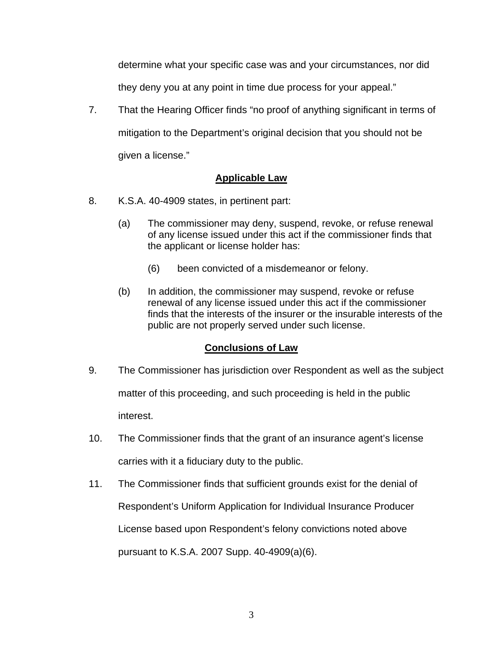determine what your specific case was and your circumstances, nor did they deny you at any point in time due process for your appeal."

7. That the Hearing Officer finds "no proof of anything significant in terms of mitigation to the Department's original decision that you should not be given a license."

## **Applicable Law**

- 8. K.S.A. 40-4909 states, in pertinent part:
	- (a) The commissioner may deny, suspend, revoke, or refuse renewal of any license issued under this act if the commissioner finds that the applicant or license holder has:
		- (6) been convicted of a misdemeanor or felony.
	- (b) In addition, the commissioner may suspend, revoke or refuse renewal of any license issued under this act if the commissioner finds that the interests of the insurer or the insurable interests of the public are not properly served under such license.

### **Conclusions of Law**

- 9. The Commissioner has jurisdiction over Respondent as well as the subject matter of this proceeding, and such proceeding is held in the public interest.
- 10. The Commissioner finds that the grant of an insurance agent's license carries with it a fiduciary duty to the public.
- 11. The Commissioner finds that sufficient grounds exist for the denial of Respondent's Uniform Application for Individual Insurance Producer License based upon Respondent's felony convictions noted above pursuant to K.S.A. 2007 Supp. 40-4909(a)(6).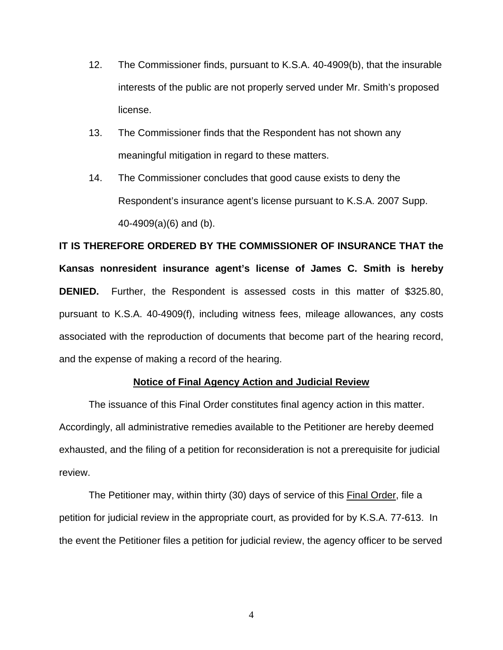- 12. The Commissioner finds, pursuant to K.S.A. 40-4909(b), that the insurable interests of the public are not properly served under Mr. Smith's proposed license.
- 13. The Commissioner finds that the Respondent has not shown any meaningful mitigation in regard to these matters.
- 14. The Commissioner concludes that good cause exists to deny the Respondent's insurance agent's license pursuant to K.S.A. 2007 Supp. 40-4909(a)(6) and (b).

**IT IS THEREFORE ORDERED BY THE COMMISSIONER OF INSURANCE THAT the Kansas nonresident insurance agent's license of James C. Smith is hereby DENIED.** Further, the Respondent is assessed costs in this matter of \$325.80, pursuant to K.S.A. 40-4909(f), including witness fees, mileage allowances, any costs associated with the reproduction of documents that become part of the hearing record, and the expense of making a record of the hearing.

#### **Notice of Final Agency Action and Judicial Review**

 The issuance of this Final Order constitutes final agency action in this matter. Accordingly, all administrative remedies available to the Petitioner are hereby deemed exhausted, and the filing of a petition for reconsideration is not a prerequisite for judicial review.

The Petitioner may, within thirty (30) days of service of this **Final Order**, file a petition for judicial review in the appropriate court, as provided for by K.S.A. 77-613. In the event the Petitioner files a petition for judicial review, the agency officer to be served

4